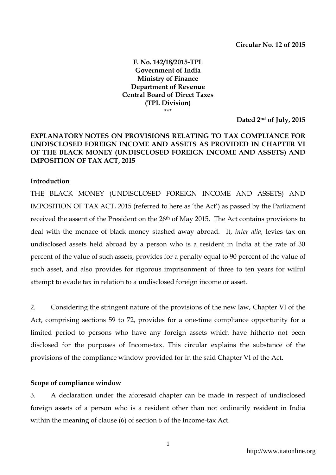**F. No. 142/18/2015-TPL Government of India Ministry of Finance Department of Revenue Central Board of Direct Taxes (TPL Division)** \*\*\*

**Dated 2nd of July, 2015**

## **EXPLANATORY NOTES ON PROVISIONS RELATING TO TAX COMPLIANCE FOR UNDISCLOSED FOREIGN INCOME AND ASSETS AS PROVIDED IN CHAPTER VI OF THE BLACK MONEY (UNDISCLOSED FOREIGN INCOME AND ASSETS) AND IMPOSITION OF TAX ACT, 2015**

#### **Introduction**

THE BLACK MONEY (UNDISCLOSED FOREIGN INCOME AND ASSETS) AND IMPOSITION OF TAX ACT, 2015 (referred to here as 'the Act') as passed by the Parliament received the assent of the President on the 26<sup>th</sup> of May 2015. The Act contains provisions to deal with the menace of black money stashed away abroad. It, *inter alia*, levies tax on undisclosed assets held abroad by a person who is a resident in India at the rate of 30 percent of the value of such assets, provides for a penalty equal to 90 percent of the value of such asset, and also provides for rigorous imprisonment of three to ten years for wilful attempt to evade tax in relation to a undisclosed foreign income or asset.

2. Considering the stringent nature of the provisions of the new law, Chapter VI of the Act, comprising sections 59 to 72, provides for a one-time compliance opportunity for a limited period to persons who have any foreign assets which have hitherto not been disclosed for the purposes of Income-tax. This circular explains the substance of the provisions of the compliance window provided for in the said Chapter VI of the Act.

#### **Scope of compliance window**

3. A declaration under the aforesaid chapter can be made in respect of undisclosed foreign assets of a person who is a resident other than not ordinarily resident in India within the meaning of clause (6) of section 6 of the Income-tax Act.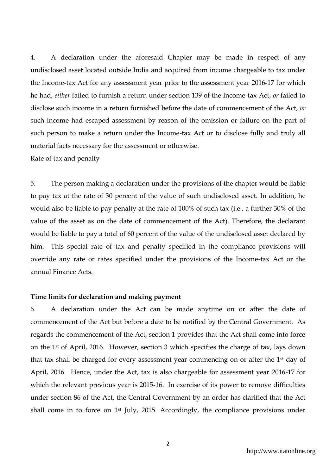4. A declaration under the aforesaid Chapter may be made in respect of any undisclosed asset located outside India and acquired from income chargeable to tax under the Income-tax Act for any assessment year prior to the assessment year 2016-17 for which he had, *either* failed to furnish a return under section 139 of the Income-tax Act, *or* failed to disclose such income in a return furnished before the date of commencement of the Act, *or* such income had escaped assessment by reason of the omission or failure on the part of such person to make a return under the Income-tax Act or to disclose fully and truly all material facts necessary for the assessment or otherwise.

Rate of tax and penalty

5. The person making a declaration under the provisions of the chapter would be liable to pay tax at the rate of 30 percent of the value of such undisclosed asset. In addition, he would also be liable to pay penalty at the rate of 100% of such tax (i.e., a further 30% of the value of the asset as on the date of commencement of the Act). Therefore, the declarant would be liable to pay a total of 60 percent of the value of the undisclosed asset declared by him. This special rate of tax and penalty specified in the compliance provisions will override any rate or rates specified under the provisions of the Income-tax Act or the annual Finance Acts.

#### **Time limits for declaration and making payment**

6. A declaration under the Act can be made anytime on or after the date of commencement of the Act but before a date to be notified by the Central Government. As regards the commencement of the Act, section 1 provides that the Act shall come into force on the 1st of April, 2016. However, section 3 which specifies the charge of tax, lays down that tax shall be charged for every assessment year commencing on or after the 1st day of April, 2016. Hence, under the Act, tax is also chargeable for assessment year 2016-17 for which the relevant previous year is 2015-16. In exercise of its power to remove difficulties under section 86 of the Act, the Central Government by an order has clarified that the Act shall come in to force on 1st July, 2015. Accordingly, the compliance provisions under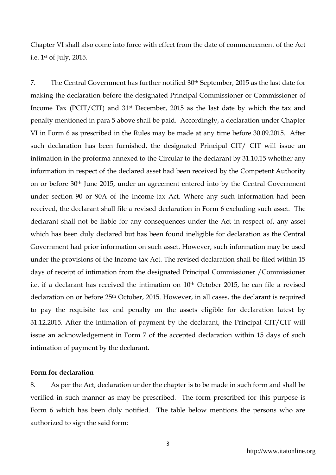Chapter VI shall also come into force with effect from the date of commencement of the Act i.e. 1st of July, 2015.

7. The Central Government has further notified 30th September, 2015 as the last date for making the declaration before the designated Principal Commissioner or Commissioner of Income Tax (PCIT/CIT) and 31st December, 2015 as the last date by which the tax and penalty mentioned in para 5 above shall be paid. Accordingly, a declaration under Chapter VI in Form 6 as prescribed in the Rules may be made at any time before 30.09.2015. After such declaration has been furnished, the designated Principal CIT/ CIT will issue an intimation in the proforma annexed to the Circular to the declarant by 31.10.15 whether any information in respect of the declared asset had been received by the Competent Authority on or before 30th June 2015, under an agreement entered into by the Central Government under section 90 or 90A of the Income-tax Act. Where any such information had been received, the declarant shall file a revised declaration in Form 6 excluding such asset. The declarant shall not be liable for any consequences under the Act in respect of, any asset which has been duly declared but has been found ineligible for declaration as the Central Government had prior information on such asset. However, such information may be used under the provisions of the Income-tax Act. The revised declaration shall be filed within 15 days of receipt of intimation from the designated Principal Commissioner /Commissioner i.e. if a declarant has received the intimation on 10<sup>th</sup> October 2015, he can file a revised declaration on or before 25<sup>th</sup> October, 2015. However, in all cases, the declarant is required to pay the requisite tax and penalty on the assets eligible for declaration latest by 31.12.2015. After the intimation of payment by the declarant, the Principal CIT/CIT will issue an acknowledgement in Form 7 of the accepted declaration within 15 days of such intimation of payment by the declarant.

## **Form for declaration**

8. As per the Act, declaration under the chapter is to be made in such form and shall be verified in such manner as may be prescribed. The form prescribed for this purpose is Form 6 which has been duly notified. The table below mentions the persons who are authorized to sign the said form: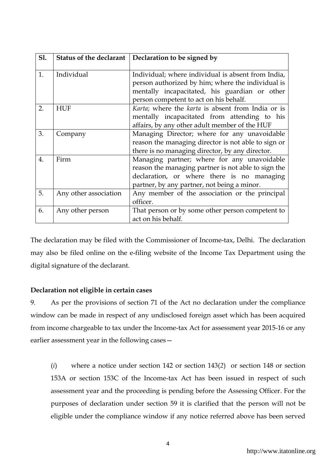| <b>S1.</b>       |                       | Status of the declarant   Declaration to be signed by                                                                                                                                              |
|------------------|-----------------------|----------------------------------------------------------------------------------------------------------------------------------------------------------------------------------------------------|
| 1.               | Individual            | Individual; where individual is absent from India,<br>person authorized by him; where the individual is<br>mentally incapacitated, his guardian or other<br>person competent to act on his behalf. |
| 2.               | <b>HUF</b>            | Karta; where the karta is absent from India or is<br>mentally incapacitated from attending to his<br>affairs, by any other adult member of the HUF                                                 |
| 3.               | Company               | Managing Director; where for any unavoidable<br>reason the managing director is not able to sign or<br>there is no managing director, by any director.                                             |
| $\overline{4}$ . | Firm                  | Managing partner; where for any unavoidable<br>reason the managing partner is not able to sign the<br>declaration, or where there is no managing<br>partner, by any partner, not being a minor.    |
| 5.               | Any other association | Any member of the association or the principal<br>officer.                                                                                                                                         |
| 6.               | Any other person      | That person or by some other person competent to<br>act on his behalf.                                                                                                                             |

The declaration may be filed with the Commissioner of Income-tax, Delhi. The declaration may also be filed online on the e-filing website of the Income Tax Department using the digital signature of the declarant.

# **Declaration not eligible in certain cases**

9. As per the provisions of section 71 of the Act no declaration under the compliance window can be made in respect of any undisclosed foreign asset which has been acquired from income chargeable to tax under the Income-tax Act for assessment year 2015-16 or any earlier assessment year in the following cases—

(*i*) where a notice under section 142 or section 143(*2*) or section 148 or section 153A or section 153C of the Income-tax Act has been issued in respect of such assessment year and the proceeding is pending before the Assessing Officer. For the purposes of declaration under section 59 it is clarified that the person will not be eligible under the compliance window if any notice referred above has been served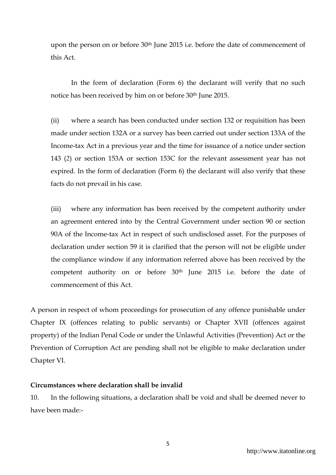upon the person on or before 30<sup>th</sup> June 2015 i.e. before the date of commencement of this Act.

In the form of declaration (Form 6) the declarant will verify that no such notice has been received by him on or before 30th June 2015.

(ii) where a search has been conducted under section 132 or requisition has been made under section 132A or a survey has been carried out under section 133A of the Income-tax Act in a previous year and the time for issuance of a notice under section 143 (*2*) or section 153A or section 153C for the relevant assessment year has not expired. In the form of declaration (Form 6) the declarant will also verify that these facts do not prevail in his case.

(iii) where any information has been received by the competent authority under an agreement entered into by the Central Government under section 90 or section 90A of the Income-tax Act in respect of such undisclosed asset. For the purposes of declaration under section 59 it is clarified that the person will not be eligible under the compliance window if any information referred above has been received by the competent authority on or before 30th June 2015 i.e. before the date of commencement of this Act.

A person in respect of whom proceedings for prosecution of any offence punishable under Chapter IX (offences relating to public servants) or Chapter XVII (offences against property) of the Indian Penal Code or under the Unlawful Activities (Prevention) Act or the Prevention of Corruption Act are pending shall not be eligible to make declaration under Chapter VI.

#### **Circumstances where declaration shall be invalid**

10. In the following situations, a declaration shall be void and shall be deemed never to have been made:-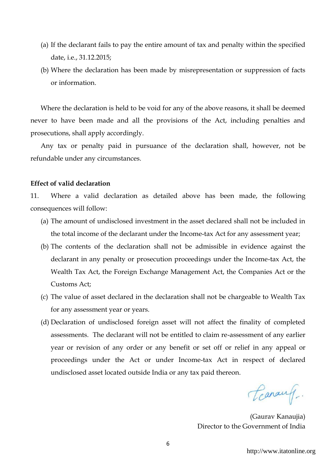- (a) If the declarant fails to pay the entire amount of tax and penalty within the specified date, i.e., 31.12.2015;
- (b) Where the declaration has been made by misrepresentation or suppression of facts or information.

Where the declaration is held to be void for any of the above reasons, it shall be deemed never to have been made and all the provisions of the Act, including penalties and prosecutions, shall apply accordingly.

Any tax or penalty paid in pursuance of the declaration shall, however, not be refundable under any circumstances.

## **Effect of valid declaration**

11. Where a valid declaration as detailed above has been made, the following consequences will follow:

- (a) The amount of undisclosed investment in the asset declared shall not be included in the total income of the declarant under the Income-tax Act for any assessment year;
- (b) The contents of the declaration shall not be admissible in evidence against the declarant in any penalty or prosecution proceedings under the Income-tax Act, the Wealth Tax Act, the Foreign Exchange Management Act, the Companies Act or the Customs Act;
- (c) The value of asset declared in the declaration shall not be chargeable to Wealth Tax for any assessment year or years.
- (d) Declaration of undisclosed foreign asset will not affect the finality of completed assessments. The declarant will not be entitled to claim re-assessment of any earlier year or revision of any order or any benefit or set off or relief in any appeal or proceedings under the Act or under Income-tax Act in respect of declared undisclosed asset located outside India or any tax paid thereon.

Canauf.

(Gaurav Kanaujia) Director to the Government of India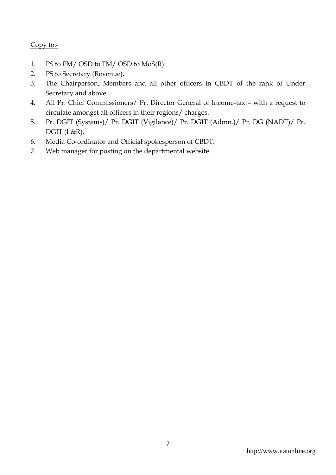# Copy to:-

- 1. PS to FM/ OSD to FM/ OSD to MoS(R).
- 2. PS to Secretary (Revenue).
- 3. The Chairperson, Members and all other officers in CBDT of the rank of Under Secretary and above.
- 4. All Pr. Chief Commissioners/ Pr. Director General of Income-tax with a request to circulate amongst all officers in their regions/ charges.
- 5. Pr. DGIT (Systems)/ Pr. DGIT (Vigilance)/ Pr. DGIT (Admn.)/ Pr. DG (NADT)/ Pr. DGIT (L&R).
- 6. Media Co-ordinator and Official spokesperson of CBDT.
- 7. Web manager for posting on the departmental website.